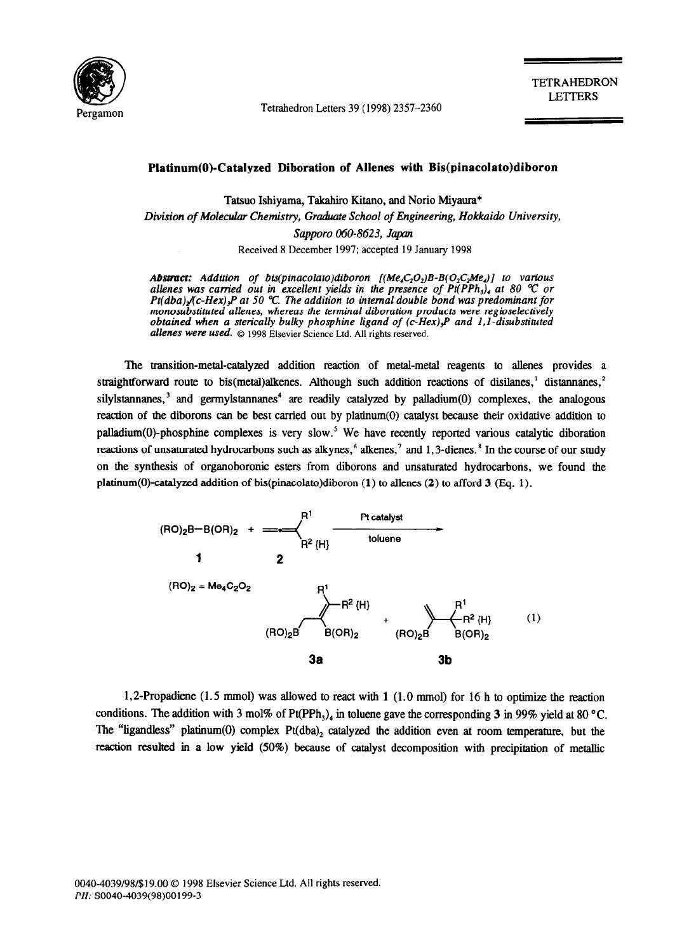

Tetrahedron Letters 39 (1998) 2357-2360

TETRAHEDRON LETTERS

## **Platinum(O)-Catalyzed Diboration of Allenes with Bis(pinacolato)diboron**

Tatsuo Ishiyama, Takahiro Kitano, and Norio Miyaura\* *Division of Molecular Chemistry, Gradwte School of Engineering, Hokkoido University, Sapporo 060-8623, Jqxm*  Received 8 December 1997; accepted 19 January 1998

*Abstract: Addition of bis(pinacolato)diboron [(Me,C<sub>2</sub>O<sub>2</sub>)B-B(O<sub>2</sub>C<sub>2</sub>Me<sub>4</sub>)] to various allenes was carried out in excellent yields in the presence of Pt(PPh<sub>3</sub>), at 80 °C or Pt(dba)* $\chi$ c-Hex)<sub>3</sub>P at 50 °C. The addition to internal double bond was predominant for *monosubstituted allenes, whereas the terminal diboration products were regioselectively obtained when a sterically bulky phosphine ligand of (c-Hex)<sub>3</sub>P and 1,1-disubstituted allenes were used. 0* 1998 Elsevier Science Ltd. All rights reserved.

The transition-metal-catalyzed addition reaction of metal-metal reagents to allenes provides a straightforward route to bis(metal)alkenes. Although such addition reactions of disilanes,<sup>1</sup> distannanes,<sup>2</sup> silylstannanes, $3$  and germylstannanes<sup>4</sup> are readily catalyzed by palladium(0) complexes, the analogous reaction of the diborons can be best carried out by platinum(O) catalyst because their oxidative addition to palladium(0)-phosphine complexes is very slow.<sup>5</sup> We have recently reported various catalytic diboration reactions of unsaturated hydrocarbons such as alkynes, $6$  alkenes, $7$  and 1,3-dienes. $8$  In the course of our study on the synthesis of organoboronic esters from diborons and unsaturated hydrocarbons, we found the platinum(O)-catalyzed addition of bis(pinacolato)diboron (1) to allenes (2) to afford 3 (Eq. 1).



1,2-Propadiene (1.5 mmol) was allowed to react with **1** (1.0 mmol) for 16 h to optimize the reaction conditions. The addition with 3 mol% of Pt(PPh<sub>3</sub>)<sub>4</sub> in toluene gave the corresponding 3 in 99% yield at 80 °C. The "ligandless" platinum(0) complex  $Pt(dba)$ <sub>2</sub> catalyzed the addition even at room temperature, but the reaction resulted in a low yield (50%) because of catalyst decomposition with precipitation of metallic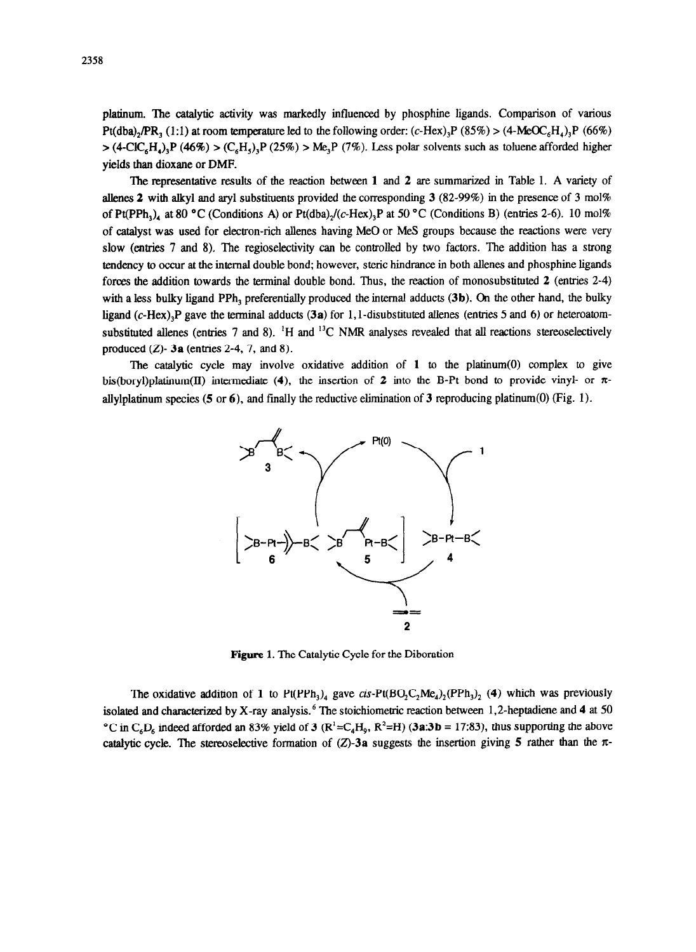platinum. The catalytic activity was markedly influenced by phosphine ligands. Comparison of various Pt(dba), $PR_3$  (1:1) at room temperature led to the following order: (c-Hex),P (85%) > (4-MeOC<sub>6</sub>H<sub>a</sub>),P (66%)  $>$  (4-ClC<sub>6</sub>H<sub>4</sub>),P (46%) > (C<sub>6</sub>H<sub>5</sub>),P (25%) > Me<sub>3</sub>P (7%). Less polar solvents such as toluene afforded higher yields than dioxane or DMF.

The representative results of the reaction between 1 and 2 are summarized in Table 1. A variety of allenes 2 with alkyl and aryl substituents provided the corresponding  $3$  (82-99%) in the presence of 3 mol% of Pt(PPh<sub>3</sub>), at 80 °C (Conditions A) or Pt(dba),/(c-Hex)<sub>3</sub>P at 50 °C (Conditions B) (entries 2-6). 10 mol% of catalyst was used for electron-rich allenes having Me0 or MeS groups because the reactions were very slow (entries 7 and 8). The regioselectivity can be controlled by two factors. The addition has a strong tendency to occur at the internal double bond; however, steric hindrance in both allenes and phosphme ligands forces the addition towards the terminal double bond. Thus, the reaction of monosubstituted 2 (entries 2-4) with a less bulky ligand PPh, preferentially produced the internal adducts **(3b). On the** other hand, the bulky ligand (c-Hex),P gave the terminal adducts **(3a)** for 1, I-disubstituted allenes (entries 5 and 6) or heteroatomsubstituted allenes (entries  $7$  and  $8$ ). <sup>1</sup>H and <sup>13</sup>C NMR analyses revealed that all reactions stereoselectively produced  $(Z)$ -  $3a$  (entries 2-4, 7, and 8).

The catalytic cycle may involve oxidative addition of  $1$  to the platinum(0) complex to give bis(boryl)platinum(II) intermediate (4), the insertion of 2 into the B-Pt bond to provide vinyl- or  $\pi$ allylplatinum species (5 or 6), and finally the reductive elimination of 3 reproducing platinum(0) (Fig. 1).



Figure 1. The Catalytic Cycle for the Diboration

The oxidative addition of 1 to  $Pt(PPh_1)_4$  gave cis- $Pt(BO_2C_2Me_4)_2(PPh_1)_2$  (4) which was previously isolated and characterized by X-ray analysis.<sup>6</sup> The stoichiometric reaction between 1,2-heptadiene and 4 at 50 <sup>o</sup>C in C<sub>6</sub>D<sub>6</sub> indeed afforded an 83% yield of 3 (R<sup>1</sup>=C<sub>4</sub>H<sub>0</sub>, R<sup>2</sup>=H) **(3a:3b** = 17:83), thus supporting the above catalytic cycle. The stereoselective formation of  $(Z)$ -3a suggests the insertion giving 5 rather than the  $\pi$ -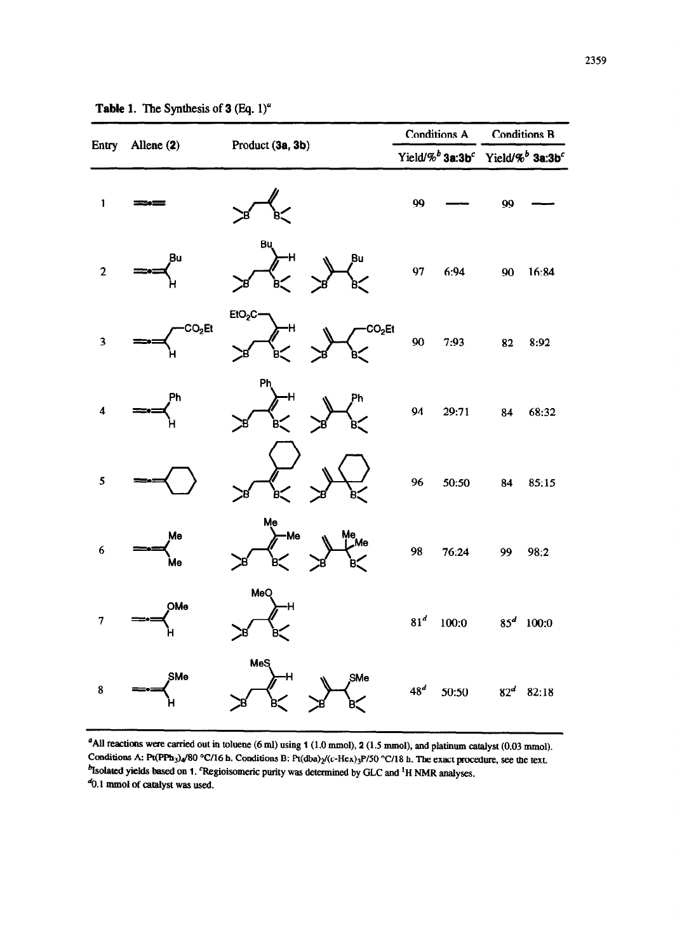| Entry                   | Allene (2)         |                                | <b>Conditions A</b> |       | <b>Conditions B</b>                                                             |              |
|-------------------------|--------------------|--------------------------------|---------------------|-------|---------------------------------------------------------------------------------|--------------|
|                         |                    | Product (3a, 3b)               |                     |       | Yield/% <sup>b</sup> 3a:3b <sup>c</sup> Yield/% <sup>b</sup> 3a:3b <sup>c</sup> |              |
| $\mathbf{1}$            |                    |                                | 99                  |       | 99                                                                              |              |
| $\overline{c}$          | Bu                 | Bu<br>Η<br>Bu                  | 97                  | 6:94  | 90                                                                              | 16:84        |
| $\overline{\mathbf{3}}$ | CO <sub>2</sub> Et | $E1O_2C$<br>CO <sub>2</sub> Et | 90                  | 7:93  | 82                                                                              | 8:92         |
| 4                       | Ph                 | Ph<br>Ph                       | 94                  | 29:71 | 84                                                                              | 68:32        |
| 5                       |                    |                                | 96                  | 50:50 | 84                                                                              | 85:15        |
| 6                       | Me<br>ÌИe          | Me<br>Me<br>Me<br>Me           | 98                  | 76:24 | 99                                                                              | 98:2         |
|                         | OMe                | MeQ                            | $81^d$              | 100:0 |                                                                                 | $85^d$ 100:0 |
| 8                       | SMe                | <b>MeS</b><br>SMe              | $48^d$              | 50:50 | $82^d$                                                                          | 82:18        |

|  |  | <b>Table 1.</b> The Synthesis of $3$ (Eq. 1) <sup>4</sup> |  |  |  |
|--|--|-----------------------------------------------------------|--|--|--|
|--|--|-----------------------------------------------------------|--|--|--|

"AU reactions were carried out in toloene (6 ml) **using** 1 (1.0 mmol), 2 (1.5 mmol), and platinum catalyst (0.03 mmol). Conditions A: Pt(PPh<sub>3</sub>)<sub>4</sub>/80 °C/16 h. Conditions B: Pt(dba)<sub>2</sub>/(c-Hex)<sub>3</sub>P/50 °C/18 h. The exact procedure, see the text. <sup>b</sup>Isolated yields based on 1. 'Regioisomeric purity was determined by GLC and <sup>1</sup>H NMR analyses.  $40.1$  mmol of catalyst was used.